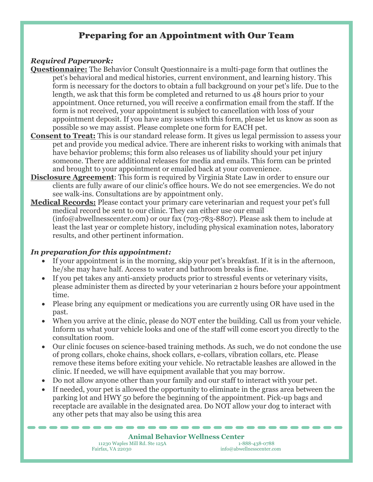### Preparing for an Appointment with Our Team

### *Required Paperwork:*

- **Questionnaire:** The Behavior Consult Questionnaire is a multi-page form that outlines the pet's behavioral and medical histories, current environment, and learning history. This form is necessary for the doctors to obtain a full background on your pet's life. Due to the length, we ask that this form be completed and returned to us 48 hours prior to your appointment. Once returned, you will receive a confirmation email from the staff. If the form is not received, your appointment is subject to cancellation with loss of your appointment deposit. If you have any issues with this form, please let us know as soon as possible so we may assist. Please complete one form for EACH pet.
- **Consent to Treat:** This is our standard release form. It gives us legal permission to assess your pet and provide you medical advice. There are inherent risks to working with animals that have behavior problems; this form also releases us of liability should your pet injury someone. There are additional releases for media and emails. This form can be printed and brought to your appointment or emailed back at your convenience.
- **Disclosure Agreement**: This form is required by Virginia State Law in order to ensure our clients are fully aware of our clinic's office hours. We do not see emergencies. We do not see walk-ins. Consultations are by appointment only.
- **Medical Records:** Please contact your primary care veterinarian and request your pet's full medical record be sent to our clinic. They can either use our email (info@abwellnesscenter.com) or our fax (703-783-8807). Please ask them to include at least the last year or complete history, including physical examination notes, laboratory results, and other pertinent information.

### *In preparation for this appointment:*

- If your appointment is in the morning, skip your pet's breakfast. If it is in the afternoon, he/she may have half. Access to water and bathroom breaks is fine.
- If you pet takes any anti-anxiety products prior to stressful events or veterinary visits, please administer them as directed by your veterinarian 2 hours before your appointment time.
- Please bring any equipment or medications you are currently using OR have used in the past.
- When you arrive at the clinic, please do NOT enter the building. Call us from your vehicle. Inform us what your vehicle looks and one of the staff will come escort you directly to the consultation room.
- Our clinic focuses on science-based training methods. As such, we do not condone the use of prong collars, choke chains, shock collars, e-collars, vibration collars, etc. Please remove these items before exiting your vehicle. No retractable leashes are allowed in the clinic. If needed, we will have equipment available that you may borrow.
- Do not allow anyone other than your family and our staff to interact with your pet.
- If needed, your pet is allowed the opportunity to eliminate in the grass area between the parking lot and HWY 50 before the beginning of the appointment. Pick-up bags and receptacle are available in the designated area. Do NOT allow your dog to interact with any other pets that may also be using this area

# **Animal Behavior Wellness Center**<br> **S** Mill Rd. Ste 125A

11230 Waples Mill Rd. Ste 125A<br>Fairfax, VA 22030